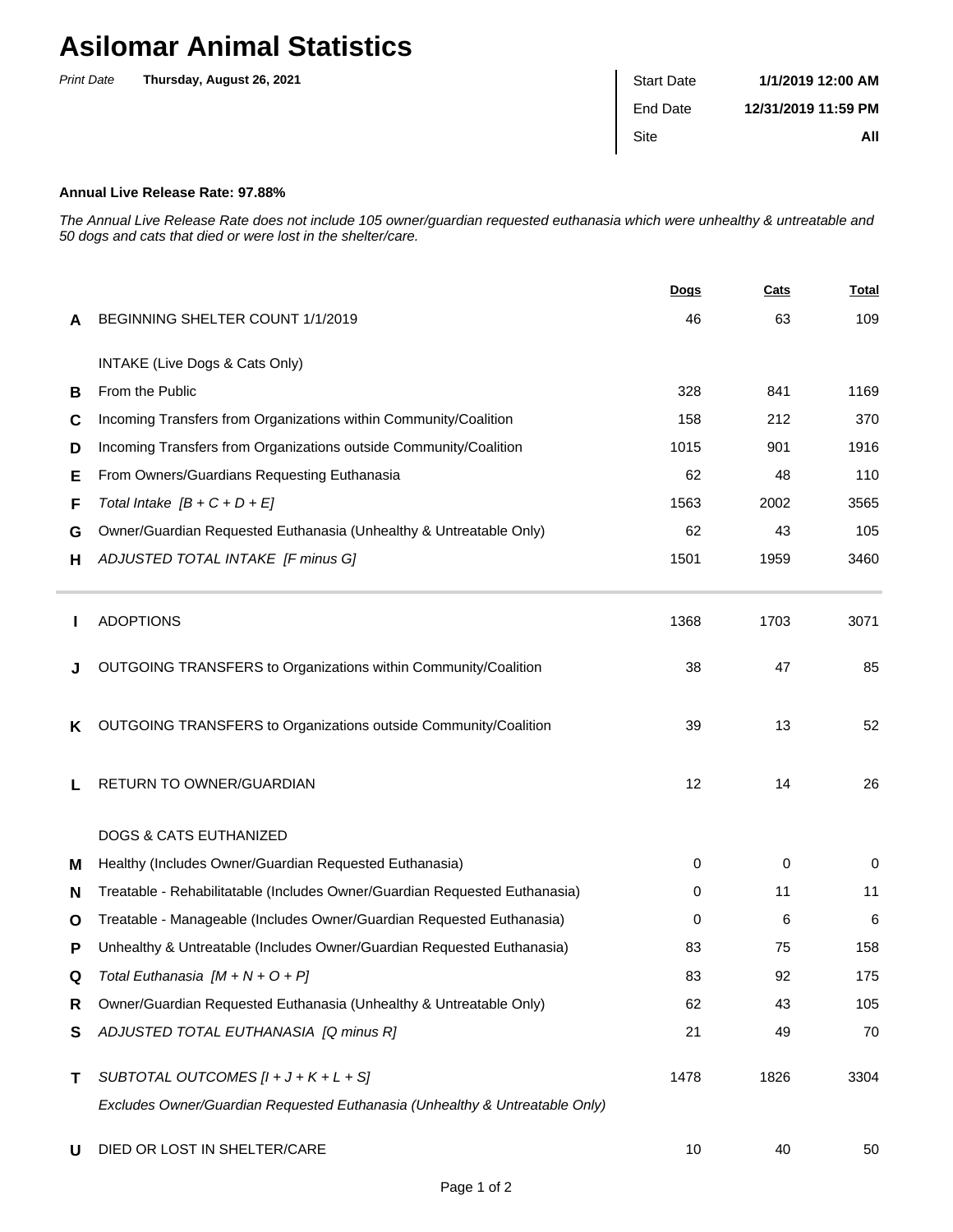## **Asilomar Animal Statistics**

| <b>Print Date</b> | Thursday, August 26, 2021 | <b>Start Date</b> | 1/1/2019 12:00 AM   |
|-------------------|---------------------------|-------------------|---------------------|
|                   |                           | End Date          | 12/31/2019 11:59 PM |
|                   |                           | Site              | All                 |
|                   |                           |                   |                     |

## **Annual Live Release Rate: 97.88%**

The Annual Live Release Rate does not include 105 owner/guardian requested euthanasia which were unhealthy & untreatable and 50 dogs and cats that died or were lost in the shelter/care.

|   |                                                                             | Dogs | <b>Cats</b> | <b>Total</b> |
|---|-----------------------------------------------------------------------------|------|-------------|--------------|
| A | BEGINNING SHELTER COUNT 1/1/2019                                            | 46   | 63          | 109          |
|   | INTAKE (Live Dogs & Cats Only)                                              |      |             |              |
| В | From the Public                                                             | 328  | 841         | 1169         |
| C | Incoming Transfers from Organizations within Community/Coalition            | 158  | 212         | 370          |
| D | Incoming Transfers from Organizations outside Community/Coalition           | 1015 | 901         | 1916         |
| Е | From Owners/Guardians Requesting Euthanasia                                 | 62   | 48          | 110          |
| F | Total Intake $[B + C + D + E]$                                              | 1563 | 2002        | 3565         |
| G | Owner/Guardian Requested Euthanasia (Unhealthy & Untreatable Only)          | 62   | 43          | 105          |
| н | ADJUSTED TOTAL INTAKE [F minus G]                                           | 1501 | 1959        | 3460         |
| ш | <b>ADOPTIONS</b>                                                            | 1368 | 1703        | 3071         |
| J | OUTGOING TRANSFERS to Organizations within Community/Coalition              | 38   | 47          | 85           |
| ĸ | OUTGOING TRANSFERS to Organizations outside Community/Coalition             | 39   | 13          | 52           |
| L | RETURN TO OWNER/GUARDIAN                                                    | 12   | 14          | 26           |
|   | <b>DOGS &amp; CATS EUTHANIZED</b>                                           |      |             |              |
| м | Healthy (Includes Owner/Guardian Requested Euthanasia)                      | 0    | 0           | 0            |
| N | Treatable - Rehabilitatable (Includes Owner/Guardian Requested Euthanasia)  | 0    | 11          | 11           |
| O | Treatable - Manageable (Includes Owner/Guardian Requested Euthanasia)       | 0    | 6           | 6            |
| P | Unhealthy & Untreatable (Includes Owner/Guardian Requested Euthanasia)      | 83   | 75          | 158          |
| Q | Total Euthanasia $[M + N + O + P]$                                          | 83   | 92          | 175          |
| R | Owner/Guardian Requested Euthanasia (Unhealthy & Untreatable Only)          | 62   | 43          | 105          |
| S | ADJUSTED TOTAL EUTHANASIA [Q minus R]                                       | 21   | 49          | 70           |
| Τ | SUBTOTAL OUTCOMES $[l + J + K + L + S]$                                     | 1478 | 1826        | 3304         |
|   | Excludes Owner/Guardian Requested Euthanasia (Unhealthy & Untreatable Only) |      |             |              |
| U | DIED OR LOST IN SHELTER/CARE                                                | 10   | 40          | 50           |